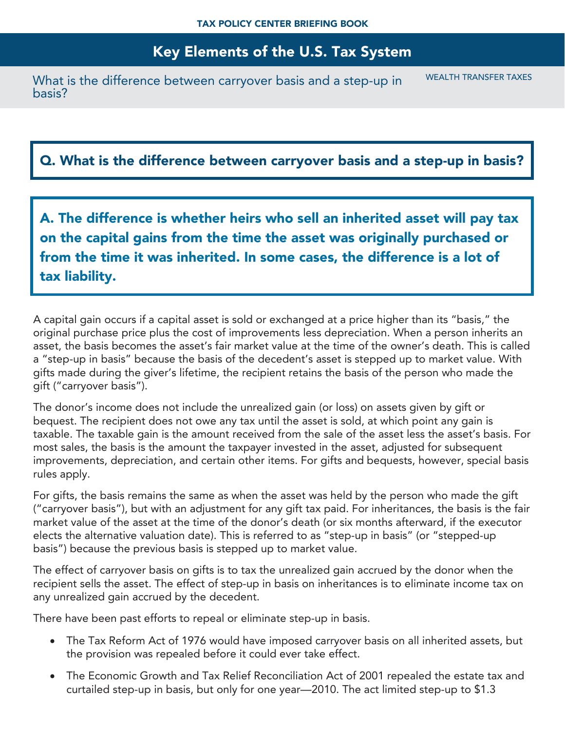## Key Elements of the U.S. Tax System

What is the difference between carryover basis and a step-up in basis? WEALTH TRANSFER TAXES

## Q. What is the difference between carryover basis and a step-up in basis?

A. The difference is whether heirs who sell an inherited asset will pay tax on the capital gains from the time the asset was originally purchased or from the time it was inherited. In some cases, the difference is a lot of tax liability.

A capital gain occurs if a capital asset is sold or exchanged at a price higher than its "basis," the original purchase price plus the cost of improvements less depreciation. When a person inherits an asset, the basis becomes the asset's fair market value at the time of the owner's death. This is called a "step-up in basis" because the basis of the decedent's asset is stepped up to market value. With gifts made during the giver's lifetime, the recipient retains the basis of the person who made the gift ("carryover basis").

The donor's income does not include the unrealized gain (or loss) on assets given by gift or bequest. The recipient does not owe any tax until the asset is sold, at which point any gain is taxable. The taxable gain is the amount received from the sale of the asset less the asset's basis. For most sales, the basis is the amount the taxpayer invested in the asset, adjusted for subsequent improvements, depreciation, and certain other items. For gifts and bequests, however, special basis rules apply.

For gifts, the basis remains the same as when the asset was held by the person who made the gift ("carryover basis"), but with an adjustment for any gift tax paid. For inheritances, the basis is the fair market value of the asset at the time of the donor's death (or six months afterward, if the executor elects the alternative valuation date). This is referred to as "step-up in basis" (or "stepped-up basis") because the previous basis is stepped up to market value.

The effect of carryover basis on gifts is to tax the unrealized gain accrued by the donor when the recipient sells the asset. The effect of step-up in basis on inheritances is to eliminate income tax on any unrealized gain accrued by the decedent.

There have been past efforts to repeal or eliminate step-up in basis.

- The Tax Reform Act of 1976 would have imposed carryover basis on all inherited assets, but the provision was repealed before it could ever take effect.
- The Economic Growth and Tax Relief Reconciliation Act of 2001 repealed the estate tax and curtailed step-up in basis, but only for one year—2010. The act limited step-up to \$1.3